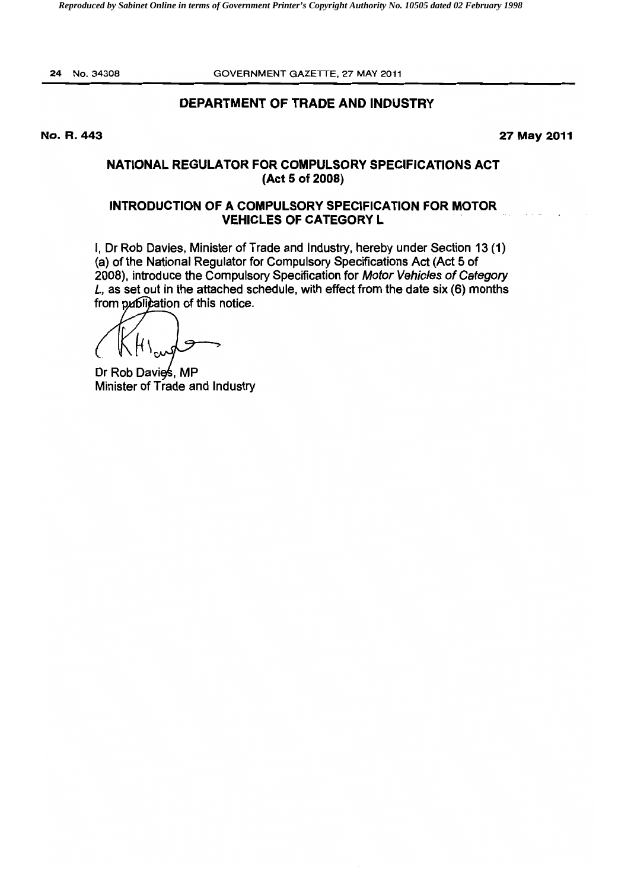24 No.34308 GOVERNMENT GAZETTE. 27 MAY 2011

# DEPARTMENT OF TRADE AND INDUSTRY

No, R, 443 27 May 2011

# NATIONAL REGULATOR FOR COMPULSORY SPECIFICATIONS ACT (Act 6 of 2008)

# INTRODUCTION OF A COMPULSORY SPECIFICATION FOR MOTOR VEHICLES OF CATEGORY L

I, Dr Rob Davies, Minister of Trade and Industry, hereby under Section 13 (1) (a) of the National Regulator for Compulsory Specifications Act (Act 5 of 2008), introduce the Compulsory Specification for Motor Vehicles of Category L, as set out in the attached schedule, with effect from the date six (6) months from publication of this notice.

Dr Rob Davies, MP Minister of Trade and Industry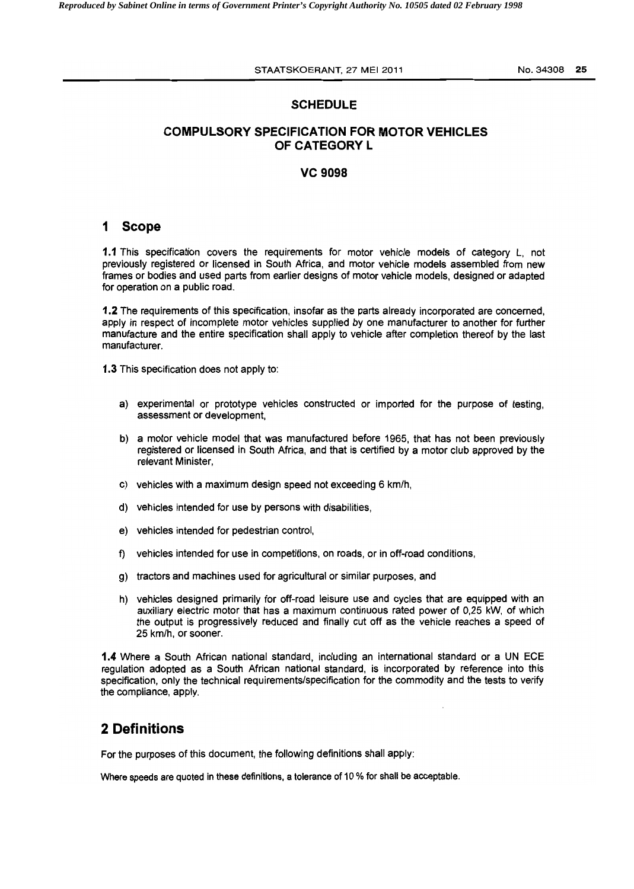#### **SCHEDULE**

# **COMPULSORY SPECIFICATION FOR MOTOR VEHICLES** OF CATEGORY L

#### VC 9098

### 1 Scope

1.1 This specification covers the requirements for motor vehicle models of category L, not previously registered or licensed in South Africa, and motor vehicle models assembled from new frames or bodies and used parts from earlier designs of motor vehicle models, designed or adapted for operation on a public road.

1.2 The requirements of this specification, insofar as the parts already incorporated are concerned, apply in respect of incomplete motor vehicles supplied by one manufacturer to another for further manufacture and the entire specification shall apply to vehicle after completion thereof by the last manufacturer.

1.3 This specification does not apply to:

- a) experimental or prototype vehicles constructed or imported for the purpose of testing, assessment or development,
- b) a motor vehicle model that was manufactured before 1965, that has not been previously registered or licensed in South Africa, and that is certified by a motor club approved by the relevant Minister,
- c) vehicles with a maximum design speed not exceeding 6 km/h,
- d) vehicles intended for use by persons with disabilities,
- e) vehicles intended for pedestrian control,
- f) vehicles intended for use in competitions, on roads, or in off-road conditions,
- g) tractors and machines used for agricultural or similar purposes, and
- h) vehicles designed primarily for off-road leisure use and cycles that are equipped with an auxiliary electric motor that has a maximum continuous rated power of 0,25 kW, of which the output is progressively reduced and finally cut off as the vehicle reaches a speed of 25 km/h, or sooner.

1.4 Where a South African national standard, including an international standard or a UN ECE regulation adopted as a South African national standard, is incorporated by reference into this specification, only the technical requirements/specification for the commodity and the tests to verify the compliance, apply.

# **2 Definitions**

For the purposes of this document, the following definitions shall apply:

Where speeds are quoted in these definitions, a tolerance of 10 % for shall be acceptable.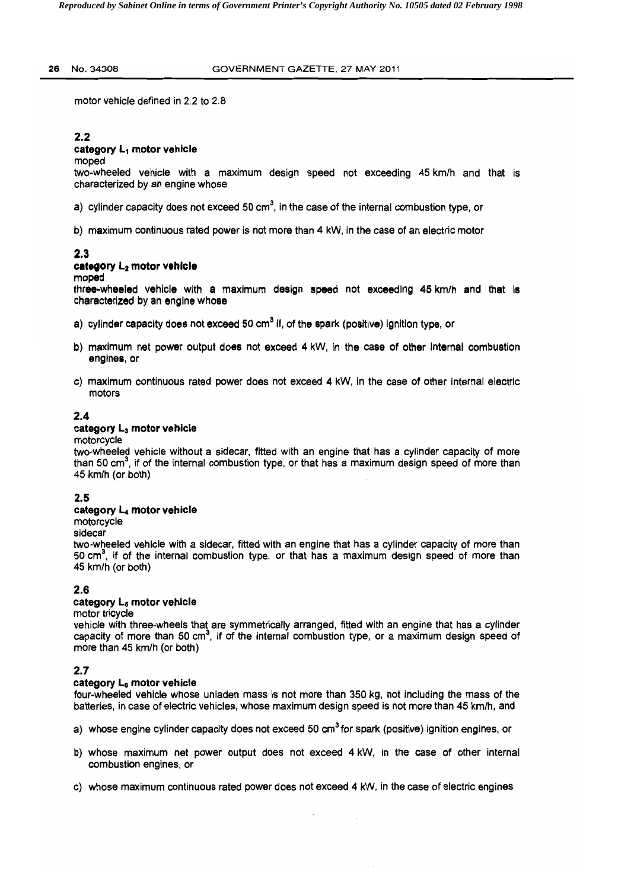#### 26 No.34308 GOVERNMENT GAZETTE. 27 MAY 2011

motor vehicle defined in 2.2 to 2.8

# 2.2

## category L<sub>1</sub> motor vehicle

#### moped

two-wheeled vehicle with a maximum design speed not exceeding 45 km/h and that is characterized by an engine whose

a) cylinder capacity does not exceed 50 cm<sup>3</sup>, in the case of the internal combustion type, or

b) maximum continuous rated power is not more than 4 kW, in the case of an electric motor

# 2.3

#### category  $L_2$  motor vehicle

moped

three-wheeled vehicle with a maximum design speed not exceeding 45 km/h and that Is characterized by an engine whose

- a) cylinder capacity does not exceed 50 cm<sup>3</sup> if, of the spark (positive) ignition type, or
- b) maximum net power output does not exceed 4 kW, in the case of other internal combustion engines, or
- c) maximum continuous rated power does not exceed 4 kW, in the case of other internal electric motors

# 2.4

## category L<sub>3</sub> motor vehicle

#### motorcycle

two-wheeled vehicle without a sidecar. fitted with an engine that has a cylinder capacity of more than 50 cm<sup>3</sup>, if of the internal combustion type, or that has a maximum design speed of more than 45 km/h (or both)

# 2.5

#### category L4 motor vehicle

motorcycle

sidecar

two-wheeled vehicle with a sidecar, fitted with an engine that has a cylinder capacity of more than 50 cm<sup>3</sup>, if of the internal combustion type, or that has a maximum design speed of more than 45 km/h (or both)

# 2.6

#### category Ls motor vehicle

motor tricycle

vehicle with three-wheels that are symmetrically arranged, fitted with an engine that has a cylinder capacity of more than 50 cm<sup>3</sup>, if of the internal combustion type, or a maximum design speed of more than 45 km/h (or both)

# 2.7

#### category L<sub>6</sub> motor vehicle

four-wheeled vehicle whose unladen mass is not more than 350 kg, not including the mass of the batteries, in case of electric vehicles, whose maximum deSign speed is not more than 45 km/h, and

- a) whose engine cylinder capacity does not exceed 50 cm<sup>3</sup> for spark (positive) ignition engines, or
- b) whose maximum net power output does not exceed 4 kW, in the case of other internal combustion engines, or
- c) whose maximum continuous rated power does not exceed 4 kW, in the case of electric engines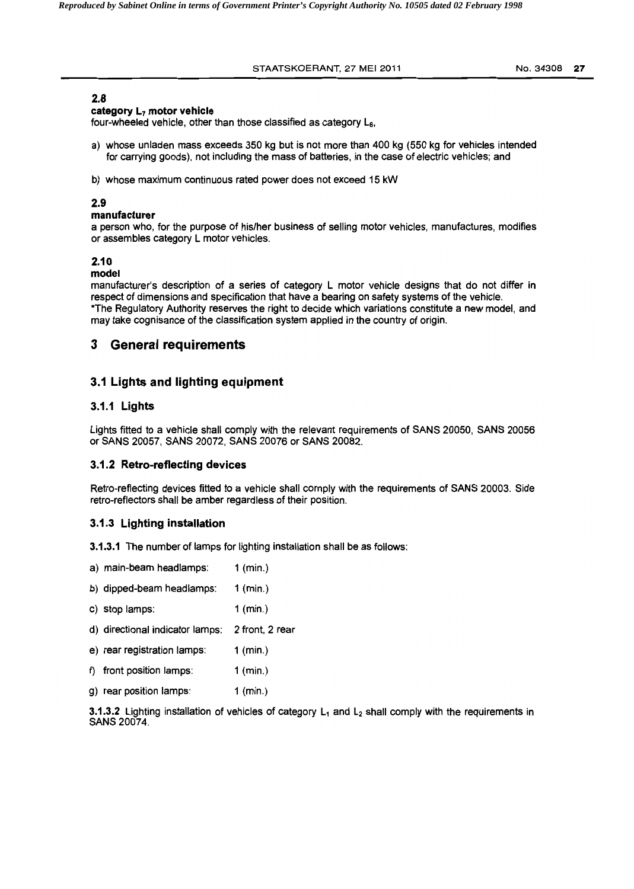#### STAATSKOERANT, 27 MEI 2011 Mo. 34308 27

### 2.8

#### category L<sub>7</sub> motor vehicle

four-wheeled vehicle. other than those classified as category Ls.

- a) whose unladen mass exceeds 350 kg but is not more than 400 kg (550 kg for vehicles intended for carrying goods). not including the mass of batteries. in the case of electric vehicles; and
- b) whose maximum continuous rated power does not exceed 15 kW

### 2.9

#### manufacturer

a person who, for the purpose of his/her business of selling motor vehicles, manufactures, modifies or assembles category L motor vehicles.

# 2.10

#### model

manufacturer's description of a series of category L motor vehicle designs that do not differ in respect of dimensions and specification that have a bearing on safety systems of the vehicle. \*The Regulatory Authority reserves the right to decide which variations constitute a new model, and may take cognisance of the classification system applied in the country of origin.

# 3 General requirements

# 3.1 Lights and lighting equipment

## 3.1.1 Lights

Lights fitted to a vehicle shall comply with the relevant requirements of SANS 20050, SANS 20056 or SANS 20057, SANS 20072. SANS 20076 or SANS 20082.

#### 3.1.2 Retro-reflecting devices

Retro-reflecting devices fitted to a vehicle shall comply with the requirements of SANS 20003. Side retro-reflectors shall be amber regardless of their position.

#### 3.1.3 LIghting installation

- 3.1.3.1 The number of lamps for lighting installation shall be as follows:
- a) main-beam headlamps: 1 (min.)
- b) dipped-beam head lamps: 1 (min.)
- c) stop lamps: 1 (min.)
- d) directional indicator lamps: 2 front, 2 rear
- e) rear registration lamps: 1 (min.)
- f) front position lamps: 1 (min.)
- g) rear position lamps: 1 (min.)

3.1.3.2 Lighting installation of vehicles of category  $L_1$  and  $L_2$  shall comply with the requirements in SANS 20074.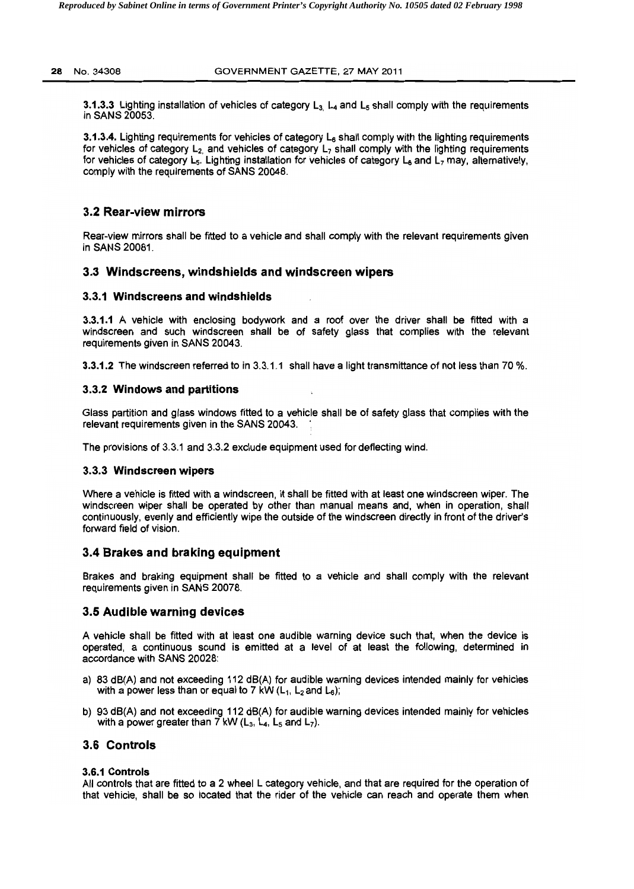3.1.3.3 Lighting installation of vehicles of category  $L_3$ ,  $L_4$  and  $L_5$  shall comply with the requirements in SANS 20053.

3.1.3.4. Lighting requirements for vehicles of category L<sub>6</sub> shall comply with the lighting requirements for vehicles of category  $L_2$  and vehicles of category  $L_7$  shall comply with the lighting requirements for vehicles of category  $L_5$ . Lighting installation for vehicles of category  $L_6$  and  $L_7$  may, alternatively, comply with the requirements of SANS 20048.

# 3.2 Rear-view mirrors

Rear-view mirrors shall be fitted to a vehicle and shall comply with the relevant requirements given in SANS 20081.

## 3.3 Windscreens, windshields and windscreen wipers

#### 3.3.1 Windscreens and windshields

3.3.1.1 A vehicle with enclosing bodywork and a roof over the driver shall be fitted with a windscreen and such windscreen shall be of safety glass that complies with the relevant requirements given in SANS 20043.

3.3.1.2 The windscreen referred to in 3.3.1.1 shall have a light transmittance of not less than 70 %.

#### 3.3.2 Windows and partitions

Glass partition and glass windows fitted to a vehicle shall be of safety glass that complies with the relevant requirements given in the SANS 20043.

The provisions of 3.3.1 and 3.3.2 exclude equipment used for deflecting wind.

#### 3.3.3 Windscreen wipers

Where a vehicle is fitted with a windscreen, it shall be fitted with at least one windscreen wiper. The windscreen wiper shall be operated by other than manual means and. when in operation, shall continuously, evenly and efficiently wipe the outside of the windscreen directly in front of the driver's forward field of vision.

#### 3.4 Brakes and braking equipment

Brakes and braking equipment shall be fitted to a vehicle and shall comply with the relevant requirements given in SANS 20078.

#### 3.5 Audible warning devices

A vehicle shall be fitted with at least one audible warning device such that, when the device is operated, a continuous sound is emitted at a level of at least the following. determined in accordance with SANS 20028:

- a) 83 dB(A) and not exceeding 112 dB(A) for audible warning devices intended mainly for vehicles with a power less than or equal to 7 kW  $(L_1, L_2)$  and  $L_6$ );
- b) 93 dB(A) and not exceeding 112 dB(A) for audible warning devices intended mainly for vehicles with a power greater than 7 kW  $(L_3, L_4, L_5, and L_7)$ .

#### 3.6 Controls

#### 3.6.1 Controls

All controls that are fitted to a 2 wheel L category vehicle. and that are required for the operation of that vehicle, shall be so located that the rider of the vehicle can reach and operate them when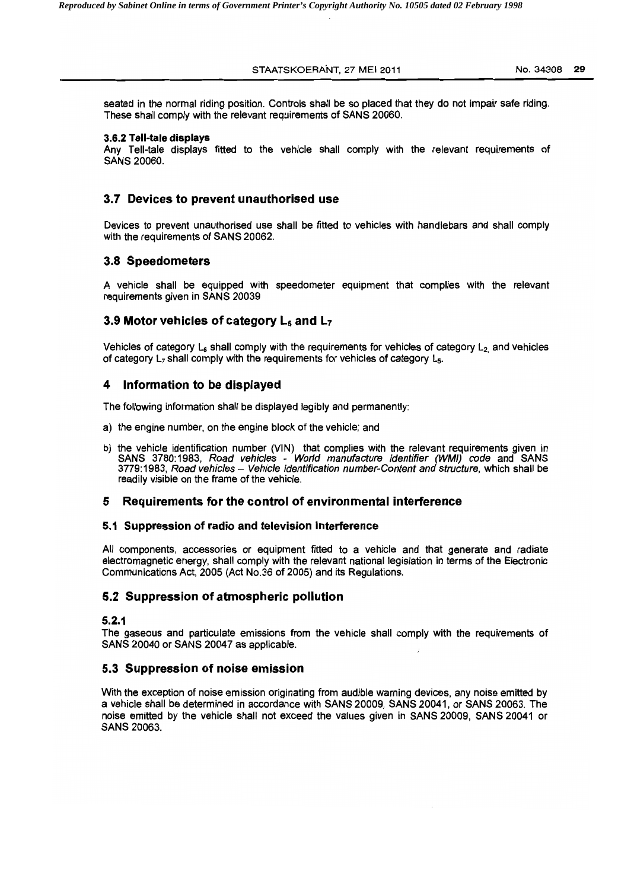STAATSKOERANT, 27 MEI 2011 **1200** 1200 1200 129

seated in the normal riding position. Controls shall be so placed that they do not impair safe riding. These shall comply with the relevant requirements of SANS 20060.

#### 3.6.2 Tell-tale displays

Any Tell-tale displays fitted to the vehicle shall comply with the relevant requirements of SANS 20060.

# 3.7 Devices to prevent unauthorised use

Devices to prevent unauthorised use shall be fitted to vehicles with handlebars and shall comply with the requirements of SANS 20062.

## 3.8 Speedometers

A vehicle shall be equipped with speedometer equipment that complies with the relevant requirements given in SANS 20039

# 3.9 Motor vehicles of category  $L_6$  and  $L_7$

Vehicles of category  $L<sub>6</sub>$  shall comply with the requirements for vehicles of category  $L<sub>2</sub>$  and vehicles of category L<sub>7</sub> shall comply with the requirements for vehicles of category L<sub>5</sub>.

# 4 Information to be displayed

The following information shall be displayed legibly and permanently:

- a) the engine number, on the engine block of the vehicle; and
- b) the vehicle identification number (VIN) that complies with the relevant requirements given in SANS 3780: 1983. Road vehicles - World manufacture identifier (WMI) code and SANS 3779:1983, Road vehicles - Vehicle identification number-Content and structure, which shall be readily visible on the frame of the vehicle.

#### 5 Requirements for the control of environmental interference

#### 5.1 Suppression of radio and television interference

All components, accessories or equipment fitted to a vehicle and that generate and radiate electromagnetic energy. shall comply with the relevant national legislation in terms of the Electronic Communications Act. 2005 (Act NO.36 of 2005) and its Regulations.

# 5.2 Suppression of atmospheric pollution

### 5.2.1

The gaseous and particulate emissions from the vehicle shall comply with the reqUirements of SANS 20040 or SANS 20047 as applicable.

#### 5.3 Suppression of noise emission

With the exception of noise emission originating from audible warning devices. any noise emitted by a vehicle shall be determined in accordance with SANS 20009, SANS 20041. or SANS 20063. The noise emitted by the vehicle shall not exceed the values given in SANS 20009, SANS 20041 or SANS 20063.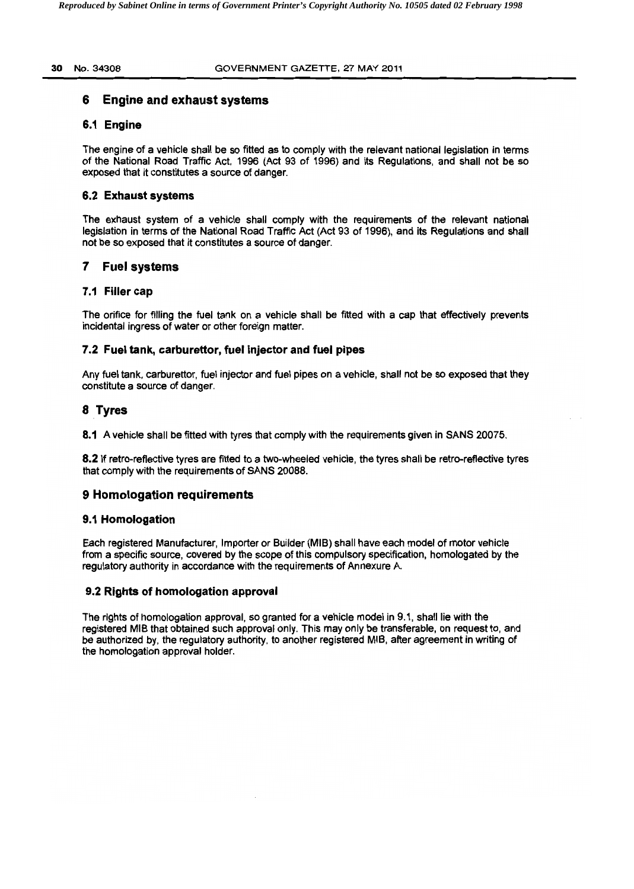#### 30 No. 34308 GOVERNMENT GAZETTE, 27 MAY 2011

# **6 Engine and exhaust systems**

## **6.1 Engine**

The engine of a vehicle shall be so fitted as to comply with the relevant national legislation in terms of the National Road Traffic Act, 1996 (Act 93 of 1996) and its Regulations, and shall not be so exposed that it constitutes a source of danger.

## **6.2 Exhaust systems**

The exhaust system of a vehicle shall comply with the requirements of the relevant national legislation in terms of the National Road Traffic Act (Act 93 of 1996), and its Regulations and shall not be so exposed that it constitutes a source of danger.

# **7 Fuel systems**

# **7.1 Filler cap**

The orifice for filling the fuel tank on a vehicle shall be fitted with a cap that effectively prevents incidental ingress of water or other foreign matter.

# **7.2 Fuel tank, carburettor,** fuel Injector **and fuel pipes**

Any fuel tank, carburettor, fuel injector and fuel pipes on a vehicle, shall not be so exposed that they constitute a source of danger.

# **8 Tyres**

**8.1** A vehicle shall be fitted with tyres that comply with the requirements given in SANS 20075.

**8.2** If retro-reflective tyres are fitted to a two-wheeled vehicle, the tyres shall be retro-reflective tyres that comply with the requirements of SANS 20088.

# **9 Homologation requirements**

#### **9.1 Homologation**

Each registered Manufacturer, Importer or Builder (MIB) shall have each model of motor vehicle from a specific source, covered by the scope of this compulsory specification, homologated by the regulatory authority in accordance with the requirements of Annexure A.

# **9.2 Rights of homologation approval**

The rights of homologation approval, so granted for a vehicle model in 9.1, shall lie with the registered MIB that obtained such approval only. This may only be transferable, on request to, and be authorized by, the regulatory authority, to another registered MIB, after agreement in writing of the homologation approval holder.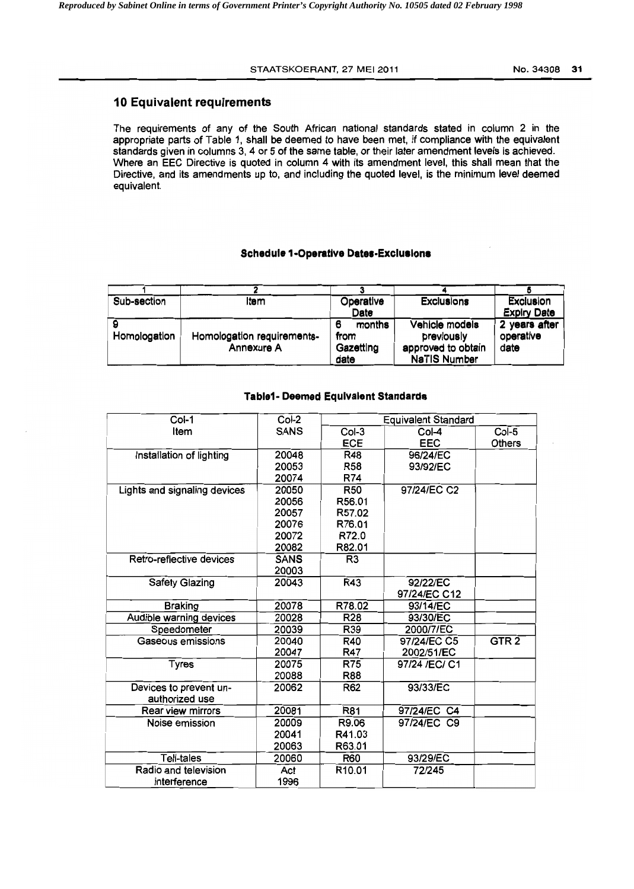# 10 Equivalent requirements

The requirements of any of the South African national standards stated in column 2 in the appropriate parts of Table 1, shall be deemed to have been met, if compliance with the equivalent standards given in columns 3, 4 or 5 of the same table, or their later amendment levels is achieved. Where an EEC Directive is quoted in column 4 with its amendment level, this shall mean that the Directive, and its amendments up to, and including the quoted level, is the minimum level deemed equivalent.

## Schedule 1-Operative Dates-Exclusions

| Sub-section  | Item                       | Operative   | <b>Exclusions</b>   | Exclusion          |
|--------------|----------------------------|-------------|---------------------|--------------------|
|              |                            | Date        |                     | <b>Expiry Date</b> |
|              |                            | months<br>6 | Vehicle models      | 2 years after      |
| Homologation | Homologation requirements- | from        | previously          | operative          |
|              | Annexure A                 | Gazetting   | approved to obtain  | date               |
|              |                            | date        | <b>NaTIS Number</b> |                    |

#### Table1- Deemed Equivalent Standards

| $CoI-1$                      | Col-2       | <b>Equivalent Standard</b> |                |                  |
|------------------------------|-------------|----------------------------|----------------|------------------|
| Item                         | <b>SANS</b> | $Col-3$                    | $Col-4$        | Col-5            |
|                              |             | <b>ECE</b>                 | <b>EEC</b>     | <b>Others</b>    |
| Installation of lighting     | 20048       | <b>R48</b>                 | 96/24/EC       |                  |
|                              | 20053       | R58                        | 93/92/EC       |                  |
|                              | 20074       | R74                        |                |                  |
| Lights and signaling devices | 20050       | <b>R50</b>                 | 97/24/EC C2    |                  |
|                              | 20056       | R56.01                     |                |                  |
|                              | 20057       | R57.02                     |                |                  |
|                              | 20076       | R76.01                     |                |                  |
|                              | 20072       | R72.0                      |                |                  |
|                              | 20082       | R82.01                     |                |                  |
| Retro-reflective devices     | <b>SANS</b> | R <sub>3</sub>             |                |                  |
|                              | 20003       |                            |                |                  |
| <b>Safety Glazing</b>        | 20043       | <b>R43</b>                 | 92/22/EC       |                  |
|                              |             |                            | 97/24/EC C12   |                  |
| <b>Braking</b>               | 20078       | R78.02                     | 93/14/EC       |                  |
| Audible warning devices      | 20028       | <b>R28</b>                 | 93/30/EC       |                  |
| Speedometer                  | 20039       | R39                        | 2000/7/EC      |                  |
| Gaseous emissions            | 20040       | R40                        | 97/24/EC C5    | GTR <sub>2</sub> |
|                              | 20047       | <b>R47</b>                 | 2002/51/EC     |                  |
| <b>Tyres</b>                 | 20075       | <b>R75</b>                 | 97/24 / EC/ C1 |                  |
|                              | 20088       | R88                        |                |                  |
| Devices to prevent un-       | 20062       | R62                        | 93/33/EC       |                  |
| authorized use               |             |                            |                |                  |
| Rear view mirrors            | 20081       | <b>R81</b>                 | 97/24/EC C4    |                  |
| Noise emission               | 20009       | R9.06                      | 97/24/EC C9    |                  |
|                              | 20041       | R41.03                     |                |                  |
|                              | 20063       | R63.01                     |                |                  |
| Tell-tales                   | 20060       | <b>R60</b>                 | 93/29/EC       |                  |
| Radio and television         | Act         | R10.01                     | 72/245         |                  |
| interference                 | 1996        |                            |                |                  |